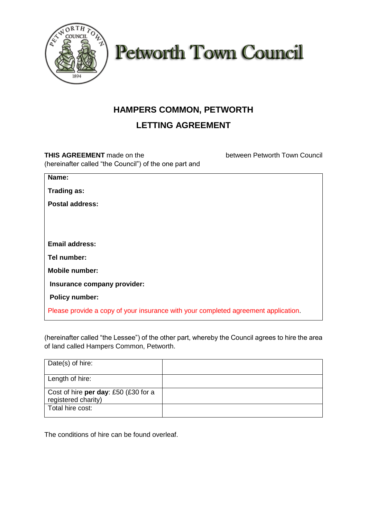



## **HAMPERS COMMON, PETWORTH**

## **LETTING AGREEMENT**

**THIS AGREEMENT** made on the between Petworth Town Council (hereinafter called "the Council") of the one part and

| Name:                                                                              |
|------------------------------------------------------------------------------------|
|                                                                                    |
| <b>Trading as:</b>                                                                 |
| <b>Postal address:</b>                                                             |
|                                                                                    |
|                                                                                    |
|                                                                                    |
|                                                                                    |
| <b>Email address:</b>                                                              |
| Tel number:                                                                        |
| <b>Mobile number:</b>                                                              |
|                                                                                    |
| Insurance company provider:                                                        |
| <b>Policy number:</b>                                                              |
|                                                                                    |
| Please provide a copy of your insurance with your completed agreement application. |
|                                                                                    |

(hereinafter called "the Lessee") of the other part, whereby the Council agrees to hire the area of land called Hampers Common, Petworth.

| Date(s) of hire:                                            |  |
|-------------------------------------------------------------|--|
| Length of hire:                                             |  |
| Cost of hire per day: £50 (£30 for a<br>registered charity) |  |
| Total hire cost:                                            |  |

The conditions of hire can be found overleaf.